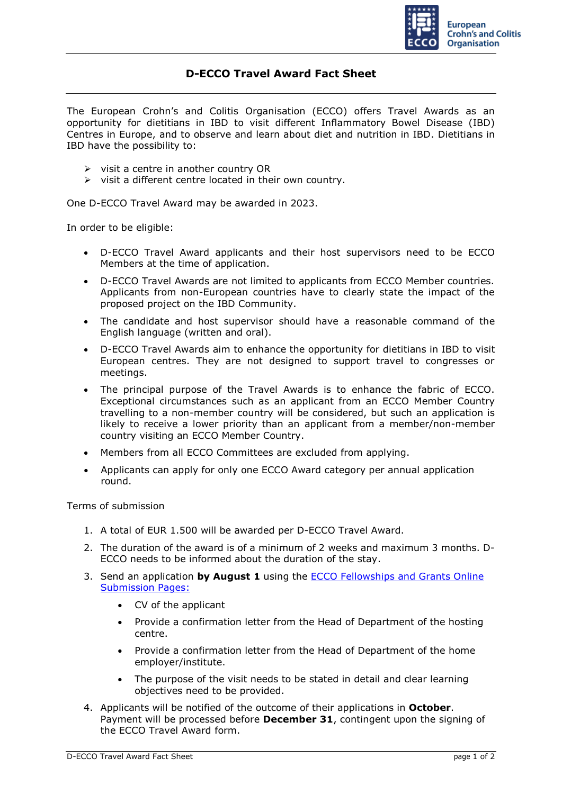

## **D-ECCO Travel Award Fact Sheet**

The European Crohn's and Colitis Organisation (ECCO) offers Travel Awards as an opportunity for dietitians in IBD to visit different Inflammatory Bowel Disease (IBD) Centres in Europe, and to observe and learn about diet and nutrition in IBD. Dietitians in IBD have the possibility to:

- $\triangleright$  visit a centre in another country OR
- ➢ visit a different centre located in their own country.

One D-ECCO Travel Award may be awarded in 2023.

In order to be eligible:

- D-ECCO Travel Award applicants and their host supervisors need to be ECCO Members at the time of application.
- D-ECCO Travel Awards are not limited to applicants from ECCO Member countries. Applicants from non-European countries have to clearly state the impact of the proposed project on the IBD Community.
- The candidate and host supervisor should have a reasonable command of the English language (written and oral).
- D-ECCO Travel Awards aim to enhance the opportunity for dietitians in IBD to visit European centres. They are not designed to support travel to congresses or meetings.
- The principal purpose of the Travel Awards is to enhance the fabric of ECCO. Exceptional circumstances such as an applicant from an ECCO Member Country travelling to a non-member country will be considered, but such an application is likely to receive a lower priority than an applicant from a member/non-member country visiting an ECCO Member Country.
- Members from all ECCO Committees are excluded from applying.
- Applicants can apply for only one ECCO Award category per annual application round.

Terms of submission

- 1. A total of EUR 1.500 will be awarded per D-ECCO Travel Award.
- 2. The duration of the award is of a minimum of 2 weeks and maximum 3 months. D-ECCO needs to be informed about the duration of the stay.
- 3. Send an application **by August 1** using the [ECCO Fellowships and Grants Online](https://cm.ecco-ibd.eu/cmPortal/Proposal/ASSOC22/config/normal/redirectconfig/DECCOTravelAward)  [Submission Pages:](https://cm.ecco-ibd.eu/cmPortal/Proposal/ASSOC22/config/normal/redirectconfig/DECCOTravelAward)
	- CV of the applicant
	- Provide a confirmation letter from the Head of Department of the hosting centre.
	- Provide a confirmation letter from the Head of Department of the home employer/institute.
	- The purpose of the visit needs to be stated in detail and clear learning objectives need to be provided.
- 4. Applicants will be notified of the outcome of their applications in **October**. Payment will be processed before **December 31**, contingent upon the signing of the ECCO Travel Award form.